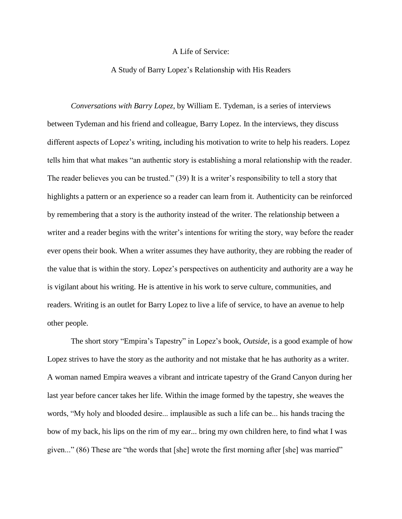## A Life of Service:

## A Study of Barry Lopez's Relationship with His Readers

*Conversations with Barry Lopez*, by William E. Tydeman, is a series of interviews between Tydeman and his friend and colleague, Barry Lopez. In the interviews, they discuss different aspects of Lopez's writing, including his motivation to write to help his readers. Lopez tells him that what makes "an authentic story is establishing a moral relationship with the reader. The reader believes you can be trusted." (39) It is a writer's responsibility to tell a story that highlights a pattern or an experience so a reader can learn from it. Authenticity can be reinforced by remembering that a story is the authority instead of the writer. The relationship between a writer and a reader begins with the writer's intentions for writing the story, way before the reader ever opens their book. When a writer assumes they have authority, they are robbing the reader of the value that is within the story. Lopez's perspectives on authenticity and authority are a way he is vigilant about his writing. He is attentive in his work to serve culture, communities, and readers. Writing is an outlet for Barry Lopez to live a life of service, to have an avenue to help other people.

The short story "Empira's Tapestry" in Lopez's book, *Outside*, is a good example of how Lopez strives to have the story as the authority and not mistake that he has authority as a writer. A woman named Empira weaves a vibrant and intricate tapestry of the Grand Canyon during her last year before cancer takes her life. Within the image formed by the tapestry, she weaves the words, "My holy and blooded desire... implausible as such a life can be... his hands tracing the bow of my back, his lips on the rim of my ear... bring my own children here, to find what I was given..." (86) These are "the words that [she] wrote the first morning after [she] was married"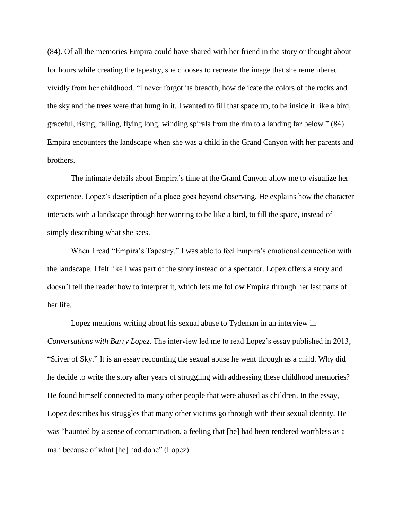(84). Of all the memories Empira could have shared with her friend in the story or thought about for hours while creating the tapestry, she chooses to recreate the image that she remembered vividly from her childhood. "I never forgot its breadth, how delicate the colors of the rocks and the sky and the trees were that hung in it. I wanted to fill that space up, to be inside it like a bird, graceful, rising, falling, flying long, winding spirals from the rim to a landing far below." (84) Empira encounters the landscape when she was a child in the Grand Canyon with her parents and brothers.

The intimate details about Empira's time at the Grand Canyon allow me to visualize her experience. Lopez's description of a place goes beyond observing. He explains how the character interacts with a landscape through her wanting to be like a bird, to fill the space, instead of simply describing what she sees.

When I read "Empira's Tapestry," I was able to feel Empira's emotional connection with the landscape. I felt like I was part of the story instead of a spectator. Lopez offers a story and doesn't tell the reader how to interpret it, which lets me follow Empira through her last parts of her life.

Lopez mentions writing about his sexual abuse to Tydeman in an interview in *Conversations with Barry Lopez*. The interview led me to read Lopez's essay published in 2013, "Sliver of Sky." It is an essay recounting the sexual abuse he went through as a child. Why did he decide to write the story after years of struggling with addressing these childhood memories? He found himself connected to many other people that were abused as children. In the essay, Lopez describes his struggles that many other victims go through with their sexual identity. He was "haunted by a sense of contamination, a feeling that [he] had been rendered worthless as a man because of what [he] had done" (Lopez).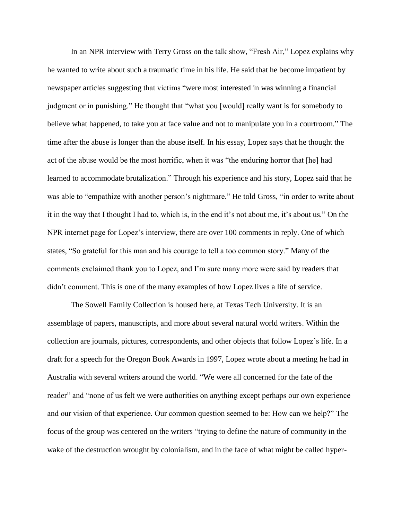In an NPR interview with Terry Gross on the talk show, "Fresh Air," Lopez explains why he wanted to write about such a traumatic time in his life. He said that he become impatient by newspaper articles suggesting that victims "were most interested in was winning a financial judgment or in punishing." He thought that "what you [would] really want is for somebody to believe what happened, to take you at face value and not to manipulate you in a courtroom." The time after the abuse is longer than the abuse itself. In his essay, Lopez says that he thought the act of the abuse would be the most horrific, when it was "the enduring horror that [he] had learned to accommodate brutalization." Through his experience and his story, Lopez said that he was able to "empathize with another person's nightmare." He told Gross, "in order to write about it in the way that I thought I had to, which is, in the end it's not about me, it's about us." On the NPR internet page for Lopez's interview, there are over 100 comments in reply. One of which states, "So grateful for this man and his courage to tell a too common story." Many of the comments exclaimed thank you to Lopez, and I'm sure many more were said by readers that didn't comment. This is one of the many examples of how Lopez lives a life of service.

The Sowell Family Collection is housed here, at Texas Tech University. It is an assemblage of papers, manuscripts, and more about several natural world writers. Within the collection are journals, pictures, correspondents, and other objects that follow Lopez's life. In a draft for a speech for the Oregon Book Awards in 1997, Lopez wrote about a meeting he had in Australia with several writers around the world. "We were all concerned for the fate of the reader" and "none of us felt we were authorities on anything except perhaps our own experience and our vision of that experience. Our common question seemed to be: How can we help?" The focus of the group was centered on the writers "trying to define the nature of community in the wake of the destruction wrought by colonialism, and in the face of what might be called hyper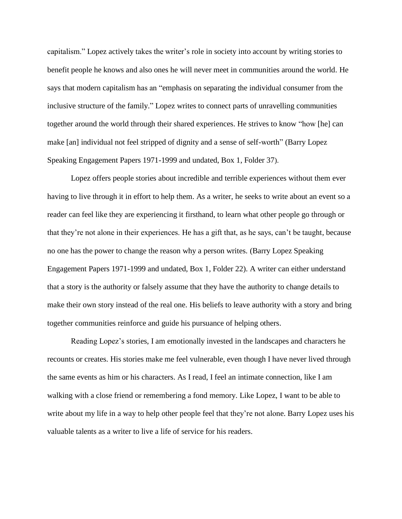capitalism." Lopez actively takes the writer's role in society into account by writing stories to benefit people he knows and also ones he will never meet in communities around the world. He says that modern capitalism has an "emphasis on separating the individual consumer from the inclusive structure of the family." Lopez writes to connect parts of unravelling communities together around the world through their shared experiences. He strives to know "how [he] can make [an] individual not feel stripped of dignity and a sense of self-worth" (Barry Lopez Speaking Engagement Papers 1971-1999 and undated, Box 1, Folder 37).

Lopez offers people stories about incredible and terrible experiences without them ever having to live through it in effort to help them. As a writer, he seeks to write about an event so a reader can feel like they are experiencing it firsthand, to learn what other people go through or that they're not alone in their experiences. He has a gift that, as he says, can't be taught, because no one has the power to change the reason why a person writes. (Barry Lopez Speaking Engagement Papers 1971-1999 and undated, Box 1, Folder 22). A writer can either understand that a story is the authority or falsely assume that they have the authority to change details to make their own story instead of the real one. His beliefs to leave authority with a story and bring together communities reinforce and guide his pursuance of helping others.

Reading Lopez's stories, I am emotionally invested in the landscapes and characters he recounts or creates. His stories make me feel vulnerable, even though I have never lived through the same events as him or his characters. As I read, I feel an intimate connection, like I am walking with a close friend or remembering a fond memory. Like Lopez, I want to be able to write about my life in a way to help other people feel that they're not alone. Barry Lopez uses his valuable talents as a writer to live a life of service for his readers.